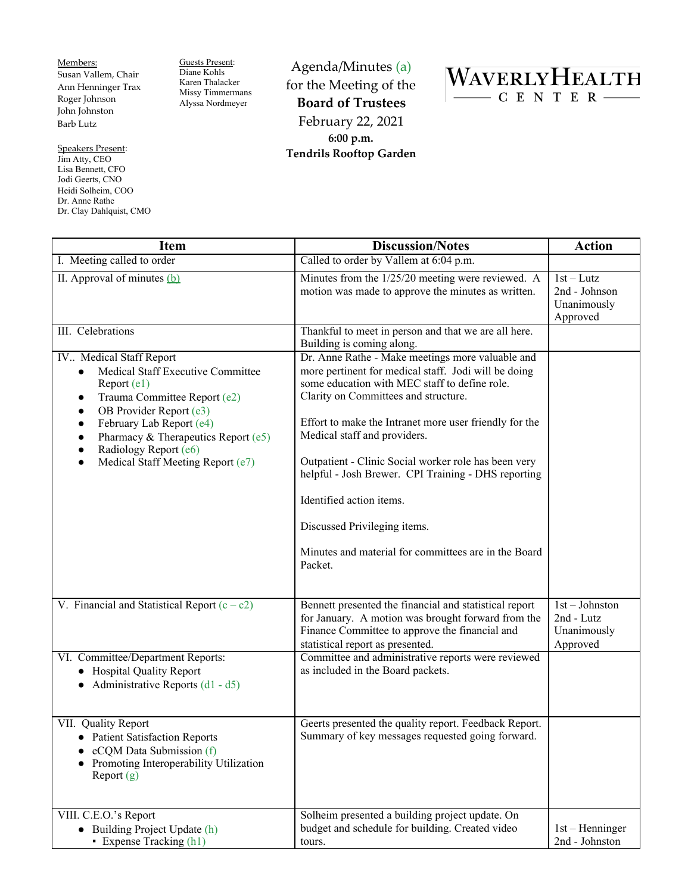Members: Susan Vallem, Chair Ann Henninger Trax Roger Johnson John Johnston Barb Lutz

Speakers Present: Jim Atty, CEO Lisa Bennett, CFO Jodi Geerts, CNO Heidi Solheim, COO Dr. Anne Rathe Dr. Clay Dahlquist, CMO

 $\mathsf{l}$ 

Guests Present: Diane Kohls Karen Thalacker Missy Timmermans Alyssa Nordmeyer

Agenda/Minutes (a) for the Meeting of the **Board of Trustees** February 22, 2021 **6:00 p.m. Tendrils Rooftop Garden**



| <b>Item</b>                                                                                                                                                                                                                                                                                                                                          | <b>Discussion/Notes</b>                                                                                                                                                                                                                                                                                                                                                                                                                                                                                                                   | <b>Action</b>                                           |
|------------------------------------------------------------------------------------------------------------------------------------------------------------------------------------------------------------------------------------------------------------------------------------------------------------------------------------------------------|-------------------------------------------------------------------------------------------------------------------------------------------------------------------------------------------------------------------------------------------------------------------------------------------------------------------------------------------------------------------------------------------------------------------------------------------------------------------------------------------------------------------------------------------|---------------------------------------------------------|
| I. Meeting called to order                                                                                                                                                                                                                                                                                                                           | Called to order by Vallem at 6:04 p.m.                                                                                                                                                                                                                                                                                                                                                                                                                                                                                                    |                                                         |
| II. Approval of minutes $(b)$                                                                                                                                                                                                                                                                                                                        | Minutes from the 1/25/20 meeting were reviewed. A<br>motion was made to approve the minutes as written.                                                                                                                                                                                                                                                                                                                                                                                                                                   | $1st-Lutz$<br>2nd - Johnson<br>Unanimously<br>Approved  |
| III. Celebrations                                                                                                                                                                                                                                                                                                                                    | Thankful to meet in person and that we are all here.<br>Building is coming along.                                                                                                                                                                                                                                                                                                                                                                                                                                                         |                                                         |
| IV Medical Staff Report<br><b>Medical Staff Executive Committee</b><br>$\bullet$<br>Report (e1)<br>Trauma Committee Report (e2)<br>٠<br>OB Provider Report (e3)<br>$\bullet$<br>February Lab Report (e4)<br>$\bullet$<br>Pharmacy & Therapeutics Report (e5)<br>$\bullet$<br>Radiology Report (e6)<br>Medical Staff Meeting Report (e7)<br>$\bullet$ | Dr. Anne Rathe - Make meetings more valuable and<br>more pertinent for medical staff. Jodi will be doing<br>some education with MEC staff to define role.<br>Clarity on Committees and structure.<br>Effort to make the Intranet more user friendly for the<br>Medical staff and providers.<br>Outpatient - Clinic Social worker role has been very<br>helpful - Josh Brewer. CPI Training - DHS reporting<br>Identified action items.<br>Discussed Privileging items.<br>Minutes and material for committees are in the Board<br>Packet. |                                                         |
| V. Financial and Statistical Report $(c - c2)$                                                                                                                                                                                                                                                                                                       | Bennett presented the financial and statistical report<br>for January. A motion was brought forward from the<br>Finance Committee to approve the financial and<br>statistical report as presented.                                                                                                                                                                                                                                                                                                                                        | 1st - Johnston<br>2nd - Lutz<br>Unanimously<br>Approved |
| VI. Committee/Department Reports:<br>• Hospital Quality Report<br>• Administrative Reports $(d1 - d5)$                                                                                                                                                                                                                                               | Committee and administrative reports were reviewed<br>as included in the Board packets.                                                                                                                                                                                                                                                                                                                                                                                                                                                   |                                                         |
| VII. Quality Report<br>• Patient Satisfaction Reports<br>eCQM Data Submission (f)<br>Promoting Interoperability Utilization<br>Report $(g)$                                                                                                                                                                                                          | Geerts presented the quality report. Feedback Report.<br>Summary of key messages requested going forward.                                                                                                                                                                                                                                                                                                                                                                                                                                 |                                                         |
| VIII. C.E.O.'s Report<br>• Building Project Update (h)<br>• Expense Tracking (h1)                                                                                                                                                                                                                                                                    | Solheim presented a building project update. On<br>budget and schedule for building. Created video<br>tours.                                                                                                                                                                                                                                                                                                                                                                                                                              | $1st$ – Henninger<br>2nd - Johnston                     |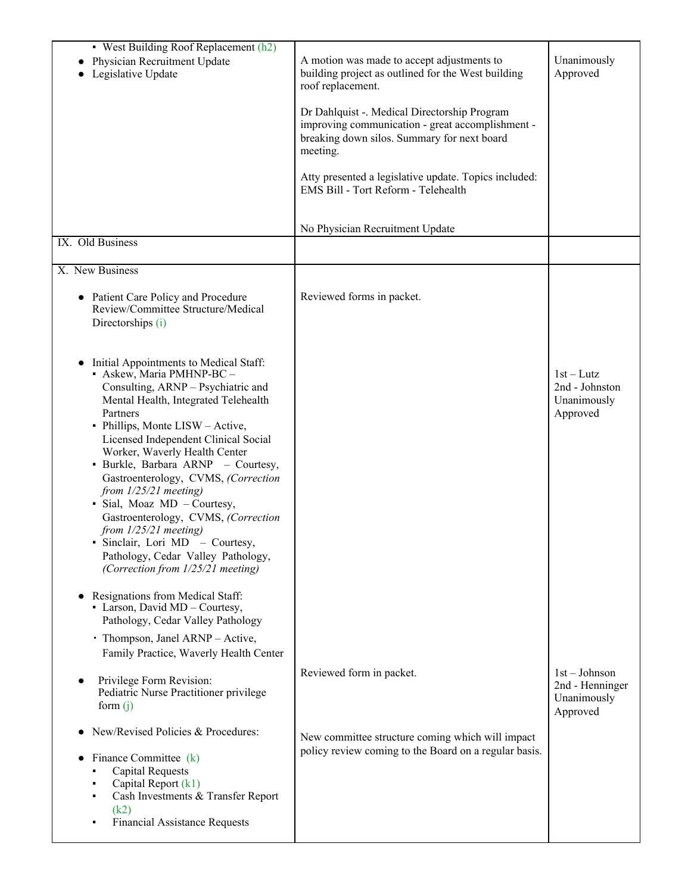| A motion was made to accept adjustments to                                                                                                                  | Unanimously                                                   |
|-------------------------------------------------------------------------------------------------------------------------------------------------------------|---------------------------------------------------------------|
| roof replacement.                                                                                                                                           | Approved                                                      |
| Dr Dahlquist -. Medical Directorship Program<br>improving communication - great accomplishment -<br>breaking down silos. Summary for next board<br>meeting. |                                                               |
| Atty presented a legislative update. Topics included:<br>EMS Bill - Tort Reform - Telehealth                                                                |                                                               |
| No Physician Recruitment Update                                                                                                                             |                                                               |
|                                                                                                                                                             |                                                               |
|                                                                                                                                                             |                                                               |
| Reviewed forms in packet.                                                                                                                                   |                                                               |
|                                                                                                                                                             | $1st-Lutz$<br>2nd - Johnston<br>Unanimously<br>Approved       |
|                                                                                                                                                             |                                                               |
|                                                                                                                                                             |                                                               |
| Reviewed form in packet.                                                                                                                                    | $1st - Johnson$<br>2nd - Henninger<br>Unanimously<br>Approved |
| New committee structure coming which will impact                                                                                                            |                                                               |
| policy review coming to the Board on a regular basis.                                                                                                       |                                                               |
|                                                                                                                                                             | building project as outlined for the West building            |